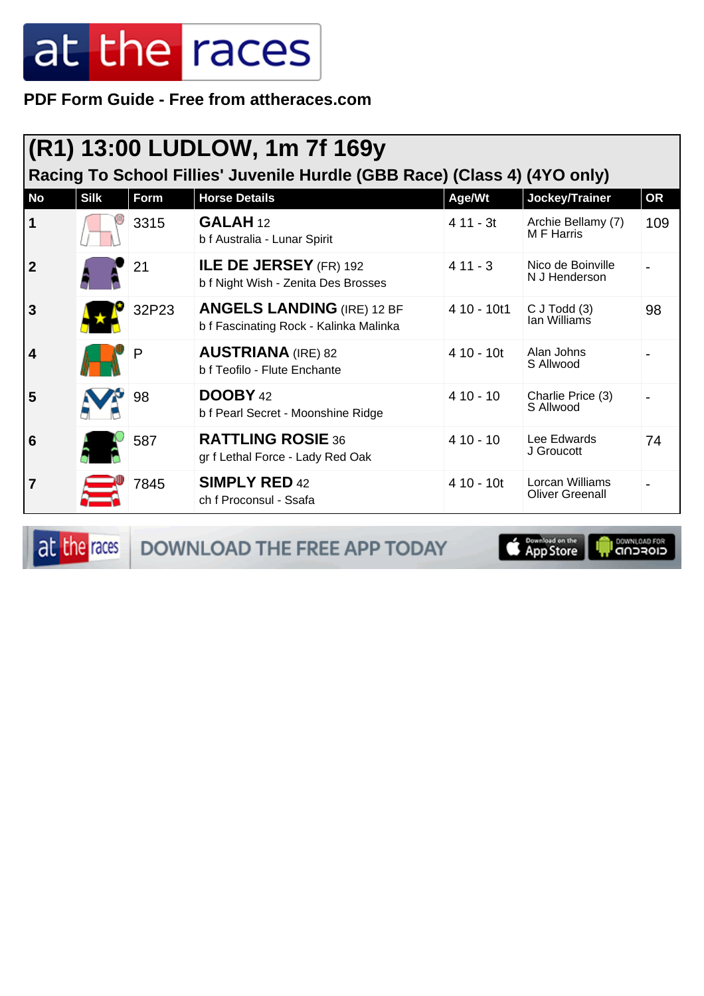**PDF Form Guide - Free from attheraces.com**

#### **(R1) 13:00 LUDLOW, 1m 7f 169y**

**Racing To School Fillies' Juvenile Hurdle (GBB Race) (Class 4) (4YO only)**

| <b>No</b>      | <b>Silk</b> | Form  | <b>Horse Details</b>                                                        | Age/Wt      | Jockey/Trainer                            | <b>OR</b> |
|----------------|-------------|-------|-----------------------------------------------------------------------------|-------------|-------------------------------------------|-----------|
| $\vert$ 1      |             | 3315  | GALAH <sub>12</sub><br>b f Australia - Lunar Spirit                         | $411 - 3t$  | Archie Bellamy (7)<br>M F Harris          | 109       |
| $\overline{2}$ |             | 21    | ILE DE JERSEY (FR) 192<br>b f Night Wish - Zenita Des Brosses               | $411 - 3$   | Nico de Boinville<br>N J Henderson        |           |
| 3              |             | 32P23 | <b>ANGELS LANDING (IRE) 12 BF</b><br>b f Fascinating Rock - Kalinka Malinka | 4 10 - 10t1 | $C$ J Todd $(3)$<br>lan Williams          | 98        |
| $\vert$ 4      |             | P     | <b>AUSTRIANA</b> (IRE) 82<br>b f Teofilo - Flute Enchante                   | $410 - 10t$ | Alan Johns<br>S Allwood                   |           |
| 5              |             | 98    | <b>DOOBY 42</b><br>b f Pearl Secret - Moonshine Ridge                       | $410 - 10$  | Charlie Price (3)<br>S Allwood            |           |
| $\overline{6}$ |             | 587   | <b>RATTLING ROSIE 36</b><br>gr f Lethal Force - Lady Red Oak                | $410 - 10$  | Lee Edwards<br>J Groucott                 | 74        |
| $\overline{7}$ |             | 7845  | <b>SIMPLY RED 42</b><br>ch f Proconsul - Ssafa                              | $410 - 10t$ | Lorcan Williams<br><b>Oliver Greenall</b> |           |

at the races DOWNLOAD THE FREE APP TODAY

Download on the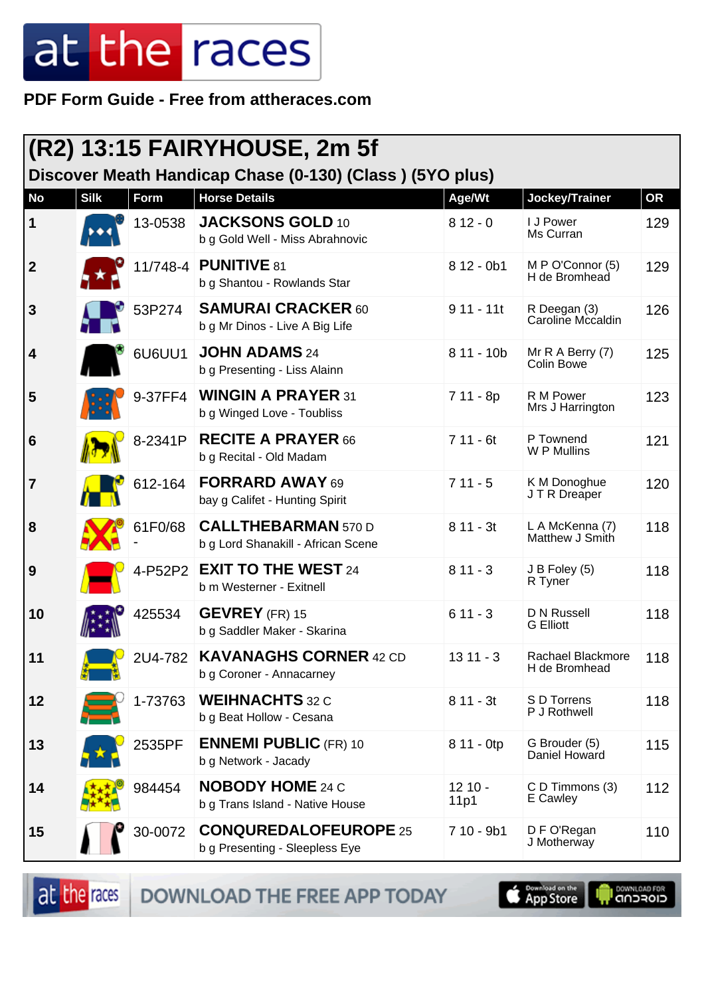**PDF Form Guide - Free from attheraces.com**

|                         | $(R2)$ 13:15 FAIRYHOUSE, 2m 5f |         |                                                                  |                  |                                    |           |  |  |
|-------------------------|--------------------------------|---------|------------------------------------------------------------------|------------------|------------------------------------|-----------|--|--|
|                         |                                |         | Discover Meath Handicap Chase (0-130) (Class) (5YO plus)         |                  |                                    |           |  |  |
| <b>No</b>               | <b>Silk</b>                    | Form    | <b>Horse Details</b>                                             | Age/Wt           | Jockey/Trainer                     | <b>OR</b> |  |  |
| $\vert$ 1               |                                | 13-0538 | <b>JACKSONS GOLD 10</b><br>b g Gold Well - Miss Abrahnovic       | $812 - 0$        | I J Power<br>Ms Curran             | 129       |  |  |
| $\overline{\mathbf{2}}$ |                                |         | 11/748-4 <b>PUNITIVE</b> 81<br>b g Shantou - Rowlands Star       | $812 - 0b1$      | M P O'Connor (5)<br>H de Bromhead  | 129       |  |  |
| 3                       |                                | 53P274  | <b>SAMURAI CRACKER 60</b><br>b g Mr Dinos - Live A Big Life      | $911 - 11t$      | R Deegan (3)<br>Caroline Mccaldin  | 126       |  |  |
| 4                       |                                | 6U6UU1  | <b>JOHN ADAMS 24</b><br>b g Presenting - Liss Alainn             | $811 - 10b$      | Mr R A Berry (7)<br>Colin Bowe     | 125       |  |  |
| 5                       |                                | 9-37FF4 | <b>WINGIN A PRAYER 31</b><br>b g Winged Love - Toubliss          | $711 - 8p$       | R M Power<br>Mrs J Harrington      | 123       |  |  |
| 6                       |                                | 8-2341P | <b>RECITE A PRAYER 66</b><br>b g Recital - Old Madam             | $711 - 6t$       | P Townend<br>W P Mullins           | 121       |  |  |
| $\overline{7}$          |                                | 612-164 | <b>FORRARD AWAY 69</b><br>bay g Califet - Hunting Spirit         | $711 - 5$        | K M Donoghue<br>J T R Dreaper      | 120       |  |  |
| 8                       |                                | 61F0/68 | <b>CALLTHEBARMAN 570 D</b><br>b g Lord Shanakill - African Scene | $811 - 3t$       | L A McKenna (7)<br>Matthew J Smith | 118       |  |  |
| 9                       |                                |         | 4-P52P2 EXIT TO THE WEST 24<br>b m Westerner - Exitnell          | $811 - 3$        | J B Foley (5)<br>R Tyner           | 118       |  |  |
| 10                      |                                | 425534  | <b>GEVREY</b> (FR) 15<br>b g Saddler Maker - Skarina             | $611 - 3$        | D N Russell<br><b>G</b> Elliott    | 118       |  |  |
| 11                      |                                | 2U4-782 | <b>KAVANAGHS CORNER 42 CD</b><br>b g Coroner - Annacarney        | $1311 - 3$       | Rachael Blackmore<br>H de Bromhead | 118       |  |  |
| 12                      |                                | 1-73763 | <b>WEIHNACHTS</b> 32 C<br>b g Beat Hollow - Cesana               | $811 - 3t$       | S D Torrens<br>P J Rothwell        | 118       |  |  |
| 13                      |                                | 2535PF  | <b>ENNEMI PUBLIC (FR) 10</b><br>b g Network - Jacady             | 8 11 - 0tp       | G Brouder (5)<br>Daniel Howard     | 115       |  |  |
| 14                      |                                | 984454  | <b>NOBODY HOME 24 C</b><br>b g Trans Island - Native House       | $1210 -$<br>11p1 | C D Timmons (3)<br>E Cawley        | 112       |  |  |
| 15                      |                                | 30-0072 | <b>CONQUREDALOFEUROPE 25</b><br>b g Presenting - Sleepless Eye   | $710 - 9b1$      | D F O'Regan<br>J Motherway         | 110       |  |  |

DOWNLOAD THE FREE APP TODAY at the races

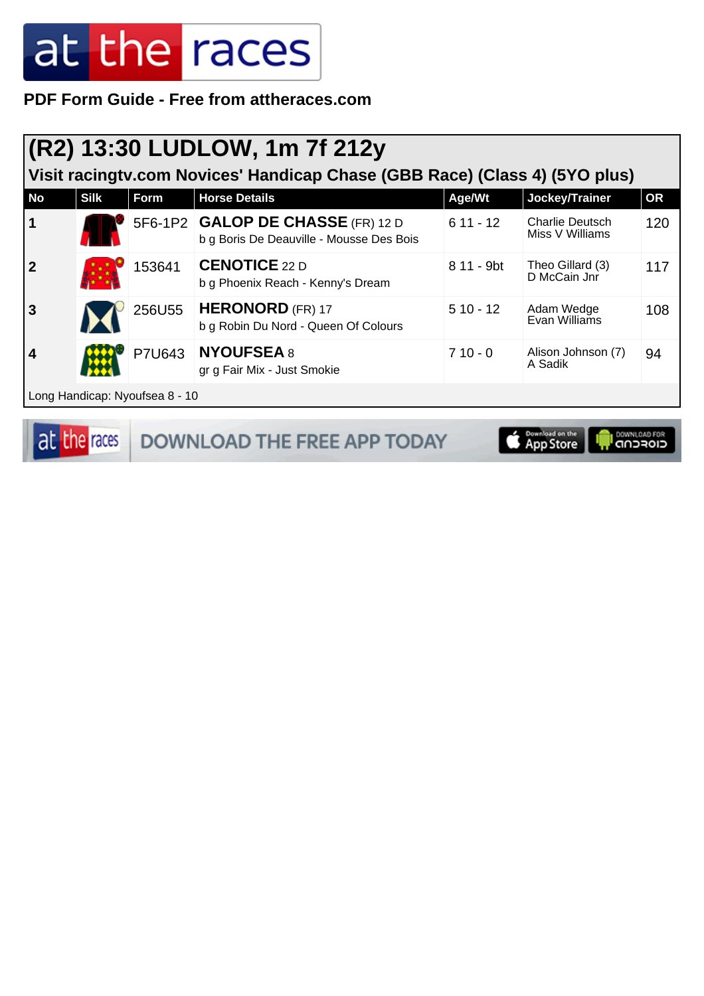**PDF Form Guide - Free from attheraces.com**

#### **(R2) 13:30 LUDLOW, 1m 7f 212y**

**Visit racingtv.com Novices' Handicap Chase (GBB Race) (Class 4) (5YO plus)**

| <b>No</b> | <b>Silk</b> | Form                               | <b>Horse Details</b>                                                          | Age/Wt     | Jockey/Trainer                            | <b>OR</b> |
|-----------|-------------|------------------------------------|-------------------------------------------------------------------------------|------------|-------------------------------------------|-----------|
| $\vert$ 1 |             |                                    | 5F6-1P2 GALOP DE CHASSE (FR) 12 D<br>b g Boris De Deauville - Mousse Des Bois | $611 - 12$ | <b>Charlie Deutsch</b><br>Miss V Williams | 120       |
| 2         |             | 153641                             | <b>CENOTICE 22 D</b><br>b g Phoenix Reach - Kenny's Dream                     | 8 11 - 9bt | Theo Gillard (3)<br>D McCain Jnr          | 117       |
| 3         |             | 256U55                             | <b>HERONORD</b> (FR) 17<br>b g Robin Du Nord - Queen Of Colours               | $510 - 12$ | Adam Wedge<br>Evan Williams               | 108       |
| 4         |             | P7U643                             | <b>NYOUFSEA 8</b><br>gr g Fair Mix - Just Smokie                              | $710 - 0$  | Alison Johnson (7)<br>A Sadik             | 94        |
|           |             | l I ong Handican: Nyoufsea 8 - 10. |                                                                               |            |                                           |           |

DOWNLOAD FOR

Tanufuqp. Nyoufsea d

at the races DOWNLOAD THE FREE APP TODAY Download on the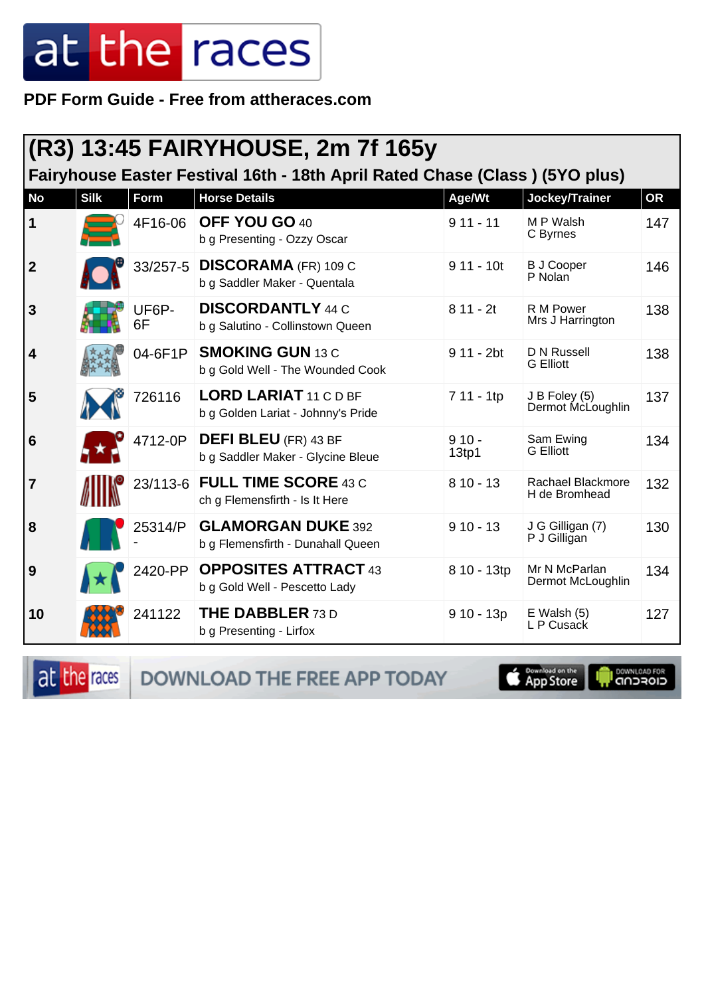#### PDF Form Guide - Free from attheraces.com

|                | (R3) 13:45 FAIRYHOUSE, 2m 7f 165y                                           |             |                                                                    |                  |                                    |           |  |  |
|----------------|-----------------------------------------------------------------------------|-------------|--------------------------------------------------------------------|------------------|------------------------------------|-----------|--|--|
|                | Fairyhouse Easter Festival 16th - 18th April Rated Chase (Class) (5YO plus) |             |                                                                    |                  |                                    |           |  |  |
| <b>No</b>      | <b>Silk</b>                                                                 | Form        | <b>Horse Details</b>                                               | Age/Wt           | Jockey/Trainer                     | <b>OR</b> |  |  |
| 1              |                                                                             | 4F16-06     | OFF YOU GO 40<br>b g Presenting - Ozzy Oscar                       | $911 - 11$       | M P Walsh<br>C Byrnes              | 147       |  |  |
| $\overline{2}$ |                                                                             | 33/257-5    | <b>DISCORAMA (FR) 109 C</b><br>b g Saddler Maker - Quentala        | $911 - 10t$      | <b>B J Cooper</b><br>P Nolan       | 146       |  |  |
| 3              |                                                                             | UF6P-<br>6F | <b>DISCORDANTLY 44 C</b><br>b g Salutino - Collinstown Queen       | $811 - 2t$       | R M Power<br>Mrs J Harrington      | 138       |  |  |
| 4              |                                                                             | 04-6F1P     | <b>SMOKING GUN 13 C</b><br>b g Gold Well - The Wounded Cook        | $911 - 2bt$      | D N Russell<br><b>G</b> Elliott    | 138       |  |  |
| 5              |                                                                             | 726116      | <b>LORD LARIAT 11 C D BF</b><br>b g Golden Lariat - Johnny's Pride | 7 11 - 1tp       | J B Foley (5)<br>Dermot McLoughlin | 137       |  |  |
| 6              |                                                                             | 4712-0P     | <b>DEFI BLEU</b> (FR) 43 BF<br>b g Saddler Maker - Glycine Bleue   | $910 -$<br>13tp1 | Sam Ewing<br><b>G</b> Elliott      | 134       |  |  |
| $\overline{7}$ |                                                                             |             | 23/113-6 FULL TIME SCORE 43 C<br>ch g Flemensfirth - Is It Here    | $810 - 13$       | Rachael Blackmore<br>H de Bromhead | 132       |  |  |
| 8              |                                                                             | 25314/P     | <b>GLAMORGAN DUKE 392</b><br>b g Flemensfirth - Dunahall Queen     | $910 - 13$       | J G Gilligan (7)<br>P J Gilligan   | 130       |  |  |
| 9              |                                                                             | 2420-PP     | <b>OPPOSITES ATTRACT 43</b><br>b g Gold Well - Pescetto Lady       | 8 10 - 13tp      | Mr N McParlan<br>Dermot McLoughlin | 134       |  |  |
| 10             |                                                                             | 241122      | <b>THE DABBLER 73 D</b><br>b g Presenting - Lirfox                 | $910 - 13p$      | $E$ Walsh $(5)$<br>L P Cusack      | 127       |  |  |

at the races DOWNLOAD THE FREE APP TODAY

App Store U

**OOWNLOAD FOR**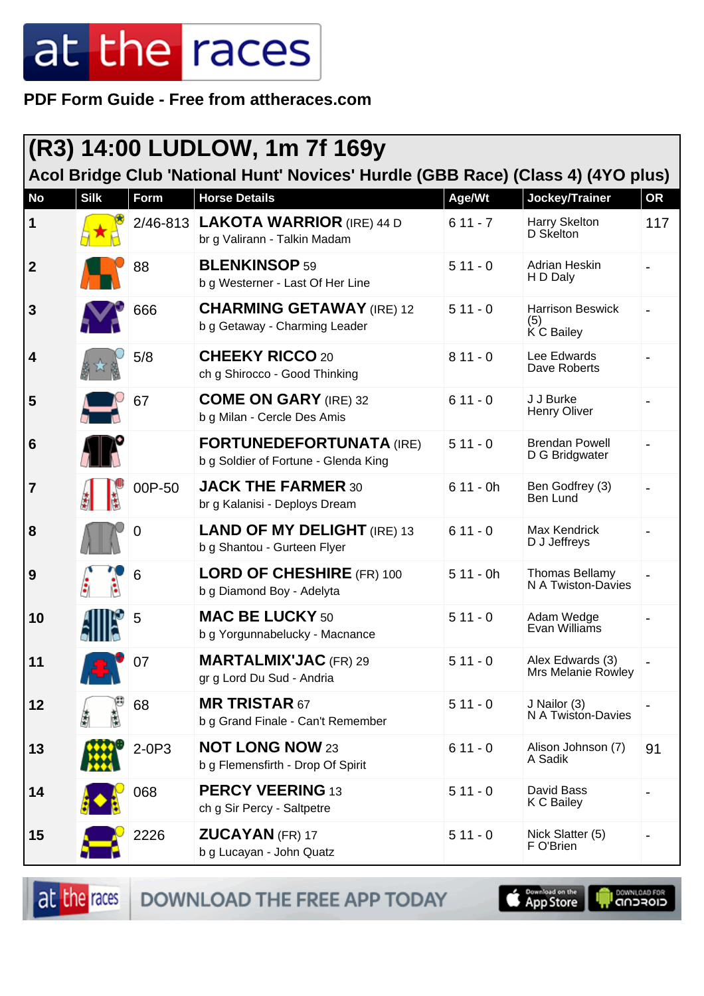**PDF Form Guide - Free from attheraces.com**

|                  | (R3) 14:00 LUDLOW, 1m 7f 169y<br>Acol Bridge Club 'National Hunt' Novices' Hurdle (GBB Race) (Class 4) (4YO plus) |         |                                                                           |            |                                               |           |  |  |
|------------------|-------------------------------------------------------------------------------------------------------------------|---------|---------------------------------------------------------------------------|------------|-----------------------------------------------|-----------|--|--|
| <b>No</b>        | <b>Silk</b>                                                                                                       | Form    | <b>Horse Details</b>                                                      | Age/Wt     | Jockey/Trainer                                | <b>OR</b> |  |  |
| 1                |                                                                                                                   |         | 2/46-813 <b>LAKOTA WARRIOR</b> (IRE) 44 D<br>br g Valirann - Talkin Madam | $611 - 7$  | Harry Skelton<br>D Skelton                    | 117       |  |  |
| $\boldsymbol{2}$ |                                                                                                                   | 88      | <b>BLENKINSOP 59</b><br>b g Westerner - Last Of Her Line                  | $511 - 0$  | Adrian Heskin<br>H D Daly                     |           |  |  |
| $\mathbf{3}$     |                                                                                                                   | 666     | <b>CHARMING GETAWAY (IRE) 12</b><br>b g Getaway - Charming Leader         | $511 - 0$  | <b>Harrison Beswick</b><br>(5)<br>K C Bailey  |           |  |  |
| 4                |                                                                                                                   | 5/8     | <b>CHEEKY RICCO 20</b><br>ch g Shirocco - Good Thinking                   | $811 - 0$  | Lee Edwards<br>Dave Roberts                   |           |  |  |
| 5                |                                                                                                                   | 67      | <b>COME ON GARY (IRE) 32</b><br>b g Milan - Cercle Des Amis               | $611 - 0$  | J J Burke<br><b>Henry Oliver</b>              |           |  |  |
| 6                |                                                                                                                   |         | <b>FORTUNEDEFORTUNATA (IRE)</b><br>b g Soldier of Fortune - Glenda King   | $511 - 0$  | <b>Brendan Powell</b><br>D G Bridgwater       |           |  |  |
| 7                |                                                                                                                   | 00P-50  | <b>JACK THE FARMER 30</b><br>br g Kalanisi - Deploys Dream                | $611 - 0h$ | Ben Godfrey (3)<br>Ben Lund                   |           |  |  |
| 8                |                                                                                                                   | 0       | <b>LAND OF MY DELIGHT (IRE) 13</b><br>b g Shantou - Gurteen Flyer         | $611 - 0$  | Max Kendrick<br>D J Jeffreys                  |           |  |  |
| 9                |                                                                                                                   | 6       | <b>LORD OF CHESHIRE (FR) 100</b><br>b g Diamond Boy - Adelyta             | $511 - 0h$ | Thomas Bellamy<br>N A Twiston-Davies          |           |  |  |
| 10               |                                                                                                                   | 5       | <b>MAC BE LUCKY 50</b><br>b g Yorgunnabelucky - Macnance                  | $511 - 0$  | Adam Wedge<br>Evan Williams                   |           |  |  |
| 11               |                                                                                                                   | 07      | <b>MARTALMIX'JAC</b> (FR) 29<br>gr g Lord Du Sud - Andria                 | $511 - 0$  | Alex Edwards (3)<br><b>Mrs Melanie Rowley</b> |           |  |  |
| 12               |                                                                                                                   | 68      | <b>MR TRISTAR 67</b><br>b g Grand Finale - Can't Remember                 | $511 - 0$  | J Nailor (3)<br>N A Twiston-Davies            |           |  |  |
| 13               |                                                                                                                   | $2-0P3$ | <b>NOT LONG NOW 23</b><br>b g Flemensfirth - Drop Of Spirit               | $611 - 0$  | Alison Johnson (7)<br>A Sadik                 | 91        |  |  |
| 14               |                                                                                                                   | 068     | <b>PERCY VEERING 13</b><br>ch g Sir Percy - Saltpetre                     | $511 - 0$  | David Bass<br>K C Bailey                      |           |  |  |
| 15               |                                                                                                                   | 2226    | <b>ZUCAYAN (FR) 17</b><br>b g Lucayan - John Quatz                        | $511 - 0$  | Nick Slatter (5)<br>F O'Brien                 |           |  |  |

DOWNLOAD THE FREE APP TODAY at the races

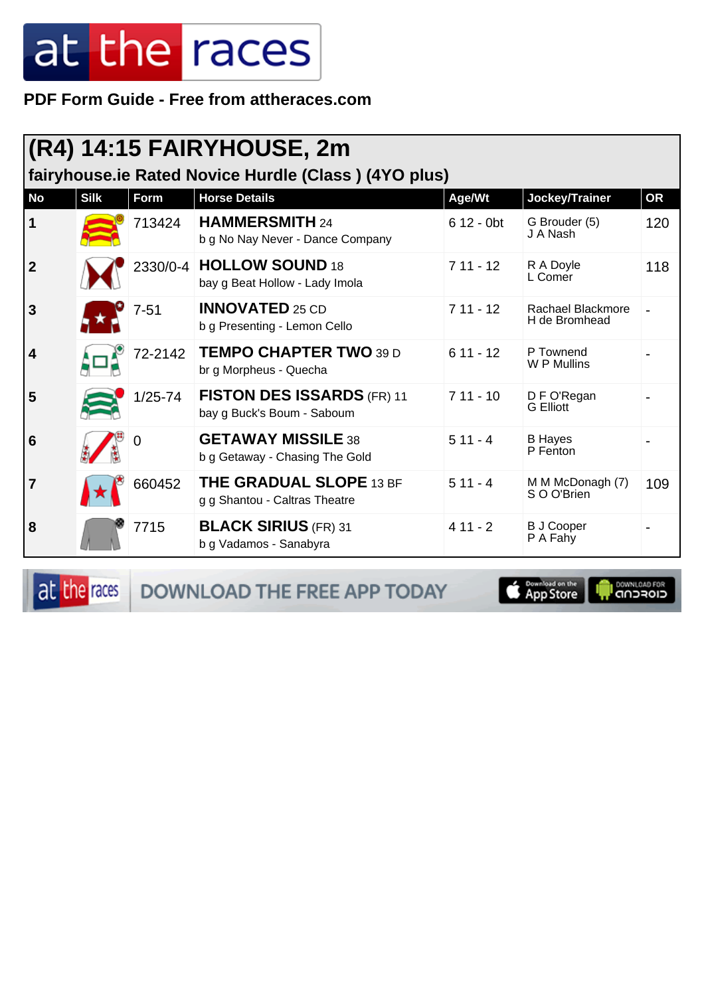PDF Form Guide - Free from attheraces.com

|                | $(R4)$ 14:15 FAIRYHOUSE, 2m<br>fairyhouse.ie Rated Novice Hurdle (Class) (4YO plus) |             |                                                                 |                         |                                    |           |  |  |
|----------------|-------------------------------------------------------------------------------------|-------------|-----------------------------------------------------------------|-------------------------|------------------------------------|-----------|--|--|
| <b>No</b>      | <b>Silk</b>                                                                         | Form        | <b>Horse Details</b>                                            | Age/Wt                  | Jockey/Trainer                     | <b>OR</b> |  |  |
| $\mathbf 1$    |                                                                                     | 713424      | <b>HAMMERSMITH 24</b><br>b g No Nay Never - Dance Company       | $612 - 0$ <sub>bt</sub> | G Brouder (5)<br>J A Nash          | 120       |  |  |
| $\overline{2}$ |                                                                                     |             | 2330/0-4   HOLLOW SOUND 18<br>bay g Beat Hollow - Lady Imola    | $711 - 12$              | R A Doyle<br>L Comer               | 118       |  |  |
| 3              |                                                                                     | $7 - 51$    | <b>INNOVATED 25 CD</b><br>b g Presenting - Lemon Cello          | $711 - 12$              | Rachael Blackmore<br>H de Bromhead |           |  |  |
| 4              |                                                                                     | 72-2142     | <b>TEMPO CHAPTER TWO 39 D</b><br>br g Morpheus - Quecha         | $611 - 12$              | P Townend<br>W P Mullins           |           |  |  |
| 5              |                                                                                     | $1/25 - 74$ | <b>FISTON DES ISSARDS (FR) 11</b><br>bay g Buck's Boum - Saboum | $711 - 10$              | D F O'Regan<br><b>G</b> Elliott    |           |  |  |
| 6              |                                                                                     | 0           | <b>GETAWAY MISSILE 38</b><br>b g Getaway - Chasing The Gold     | $511 - 4$               | <b>B</b> Hayes<br>P Fenton         |           |  |  |
| $\overline{7}$ |                                                                                     | 660452      | <b>THE GRADUAL SLOPE 13 BF</b><br>g g Shantou - Caltras Theatre | $511 - 4$               | M M McDonagh (7)<br>S O O'Brien    | 109       |  |  |
| 8              |                                                                                     | 7715        | <b>BLACK SIRIUS (FR) 31</b><br>b g Vadamos - Sanabyra           | $411 - 2$               | <b>B J Cooper</b><br>P A Fahy      |           |  |  |

at the races

DOWNLOAD THE FREE APP TODAY

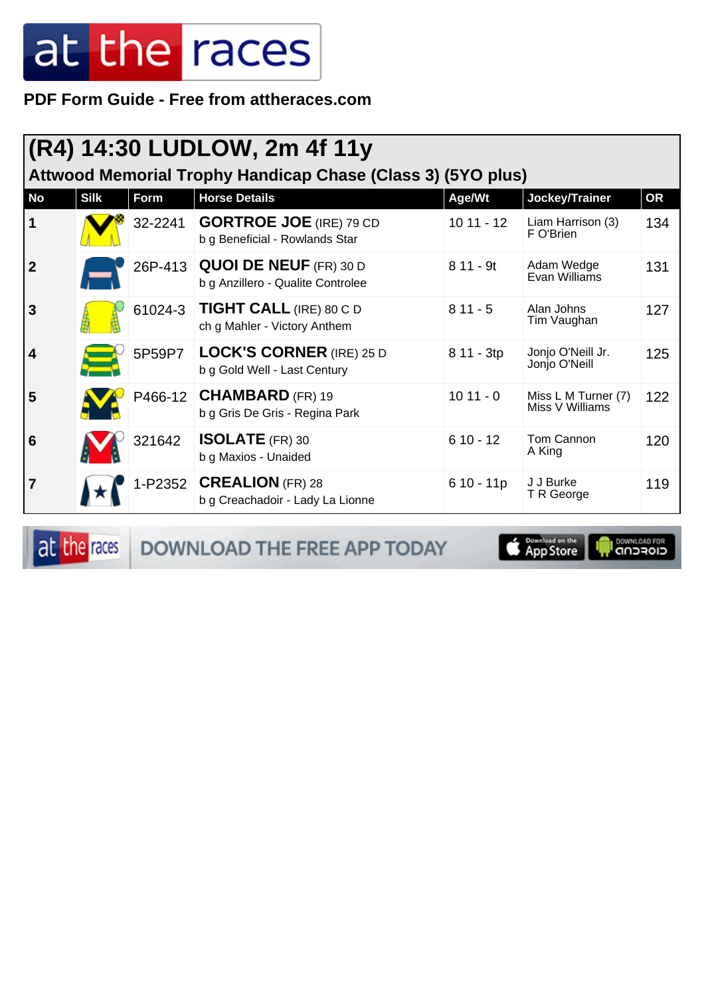PDF Form Guide - Free from attheraces.com

|                  | $ (R4)$ 14:30 LUDLOW, 2m 4f 11y<br>Attwood Memorial Trophy Handicap Chase (Class 3) (5YO plus) |         |                                                                     |             |                                        |           |  |  |  |
|------------------|------------------------------------------------------------------------------------------------|---------|---------------------------------------------------------------------|-------------|----------------------------------------|-----------|--|--|--|
| <b>No</b>        | <b>Silk</b>                                                                                    | Form    | <b>Horse Details</b>                                                | Age/Wt      | Jockey/Trainer                         | <b>OR</b> |  |  |  |
| $\mathbf 1$      |                                                                                                | 32-2241 | <b>GORTROE JOE</b> (IRE) 79 CD<br>b g Beneficial - Rowlands Star    | $1011 - 12$ | Liam Harrison (3)<br>F O'Brien         | 134       |  |  |  |
| $\boldsymbol{2}$ |                                                                                                |         | 26P-413 QUOI DE NEUF (FR) 30 D<br>b g Anzillero - Qualite Controlee | $811 - 9t$  | Adam Wedge<br>Evan Williams            | 131       |  |  |  |
| 3                |                                                                                                | 61024-3 | <b>TIGHT CALL (IRE) 80 C D</b><br>ch g Mahler - Victory Anthem      | $811 - 5$   | Alan Johns<br>Tim Vaughan              | 127       |  |  |  |
| 4                |                                                                                                | 5P59P7  | <b>LOCK'S CORNER (IRE) 25 D</b><br>b g Gold Well - Last Century     | 8 11 - 3tp  | Jonjo O'Neill Jr.<br>Jonjo O'Neill     | 125       |  |  |  |
| 5                |                                                                                                |         | P466-12 CHAMBARD (FR) 19<br>b g Gris De Gris - Regina Park          | $1011 - 0$  | Miss L M Turner (7)<br>Miss V Williams | 122       |  |  |  |
| 6                |                                                                                                | 321642  | <b>ISOLATE</b> (FR) 30<br>b g Maxios - Unaided                      | $610 - 12$  | Tom Cannon<br>A King                   | 120       |  |  |  |
| 7                |                                                                                                |         | 1-P2352 <b>CREALION</b> (FR) 28<br>b g Creachadoir - Lady La Lionne | $610 - 11p$ | J J Burke<br>T R George                | 119       |  |  |  |

at the races DOWNLOAD THE FREE APP TODAY

Download on the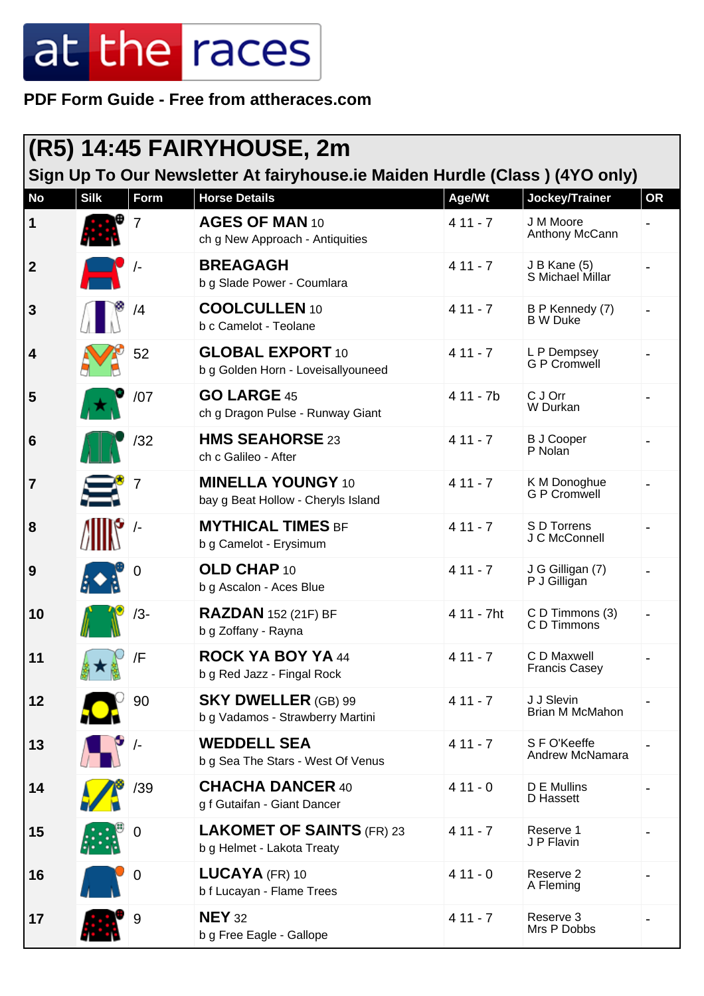**PDF Form Guide - Free from attheraces.com**

| <b>(R5) 14:45 FAIRYHOUSE, 2m</b> |             |            |                                                                                                     |            |                                     |           |  |
|----------------------------------|-------------|------------|-----------------------------------------------------------------------------------------------------|------------|-------------------------------------|-----------|--|
| <b>No</b>                        | <b>Silk</b> | Form       | Sign Up To Our Newsletter At fairyhouse.ie Maiden Hurdle (Class) (4YO only)<br><b>Horse Details</b> | Age/Wt     | Jockey/Trainer                      | <b>OR</b> |  |
| 1                                |             | 7          | AGES OF MAN 10<br>ch g New Approach - Antiquities                                                   | $411 - 7$  | J M Moore<br>Anthony McCann         |           |  |
| $\overline{2}$                   |             |            | <b>BREAGAGH</b><br>b g Slade Power - Coumlara                                                       | $411 - 7$  | J B Kane (5)<br>S Michael Millar    |           |  |
| $\mathbf{3}$                     |             | /4         | <b>COOLCULLEN 10</b><br>b c Camelot - Teolane                                                       | $411 - 7$  | B P Kennedy (7)<br><b>B</b> W Duke  |           |  |
| $\overline{\mathbf{4}}$          |             | 52         | <b>GLOBAL EXPORT 10</b><br>b g Golden Horn - Loveisallyouneed                                       | $411 - 7$  | L P Dempsey<br><b>G P Cromwell</b>  |           |  |
| 5                                |             | /07        | <b>GO LARGE 45</b><br>ch g Dragon Pulse - Runway Giant                                              | 4 11 - 7b  | C J Orr<br>W Durkan                 |           |  |
| $6\phantom{1}6$                  |             | /32        | <b>HMS SEAHORSE 23</b><br>ch c Galileo - After                                                      | $411 - 7$  | <b>B J Cooper</b><br>P Nolan        |           |  |
| $\overline{7}$                   |             | 7          | <b>MINELLA YOUNGY 10</b><br>bay g Beat Hollow - Cheryls Island                                      | $411 - 7$  | K M Donoghue<br>G P Cromwell        |           |  |
| 8                                |             | $\sqrt{-}$ | <b>MYTHICAL TIMES BF</b><br>b g Camelot - Erysimum                                                  | $411 - 7$  | S D Torrens<br>J C McConnell        |           |  |
| 9                                |             | 0          | OLD CHAP 10<br>b g Ascalon - Aces Blue                                                              | $411 - 7$  | J G Gilligan (7)<br>P J Gilligan    |           |  |
| 10                               |             | $/3-$      | <b>RAZDAN</b> 152 (21F) BF<br>b g Zoffany - Rayna                                                   | 4 11 - 7ht | C D Timmons (3)<br>C D Timmons      |           |  |
| 11                               |             | /F         | ROCK YA BOY YA 44<br>b g Red Jazz - Fingal Rock                                                     | $411 - 7$  | C D Maxwell<br><b>Francis Casey</b> |           |  |
| 12                               |             | 90         | <b>SKY DWELLER (GB) 99</b><br>b g Vadamos - Strawberry Martini                                      | $411 - 7$  | J J Slevin<br>Brian M McMahon       |           |  |
| 13                               |             | $\sqrt{-}$ | <b>WEDDELL SEA</b><br>b g Sea The Stars - West Of Venus                                             | $411 - 7$  | S F O'Keeffe<br>Andrew McNamara     |           |  |
| 14                               |             | /39        | <b>CHACHA DANCER 40</b><br>g f Gutaifan - Giant Dancer                                              | $411 - 0$  | D E Mullins<br>D Hassett            |           |  |
| 15                               |             | 0          | <b>LAKOMET OF SAINTS (FR) 23</b><br>b g Helmet - Lakota Treaty                                      | $411 - 7$  | Reserve 1<br>J P Flavin             |           |  |
| 16                               |             | 0          | $LUCAYA$ (FR) 10<br>b f Lucayan - Flame Trees                                                       | $411 - 0$  | Reserve 2<br>A Fleming              |           |  |
| 17                               |             | 9          | <b>NEY 32</b><br>b g Free Eagle - Gallope                                                           | $411 - 7$  | Reserve 3<br>Mrs P Dobbs            |           |  |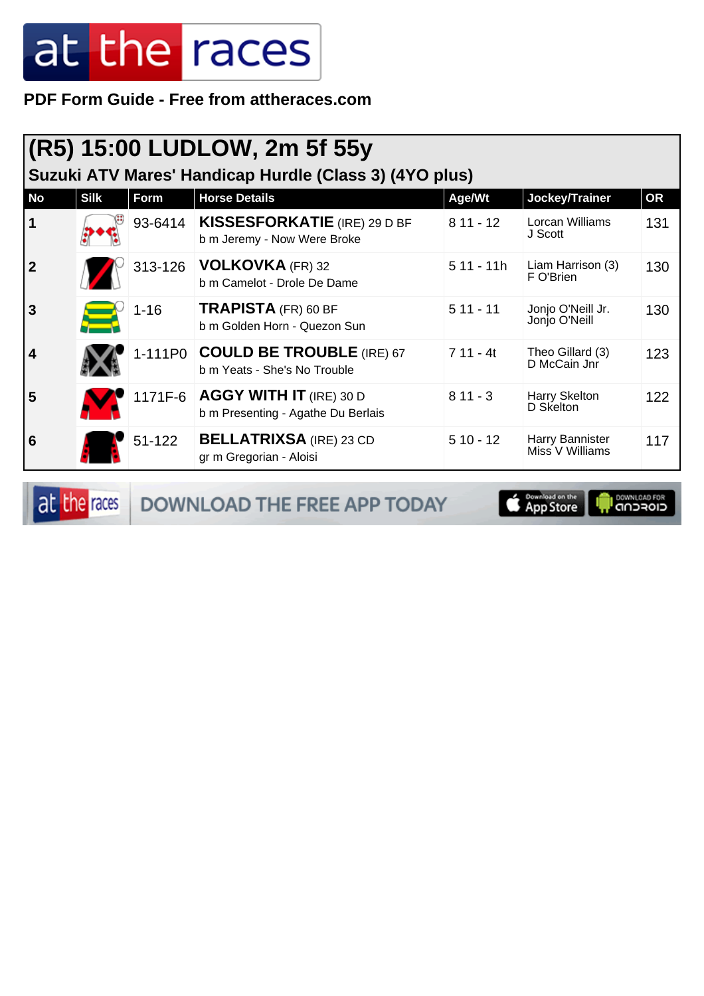**PDF Form Guide - Free from attheraces.com**

| (R5) 15:00 LUDLOW, 2m 5f 55y<br>Suzuki ATV Mares' Handicap Hurdle (Class 3) (4YO plus) |             |            |                                                                         |             |                                    |           |  |  |
|----------------------------------------------------------------------------------------|-------------|------------|-------------------------------------------------------------------------|-------------|------------------------------------|-----------|--|--|
| <b>No</b>                                                                              | <b>Silk</b> | Form       | <b>Horse Details</b>                                                    | Age/Wt      | Jockey/Trainer                     | <b>OR</b> |  |  |
| $\vert$ 1                                                                              |             | 93-6414    | <b>KISSESFORKATIE</b> (IRE) 29 D BF<br>b m Jeremy - Now Were Broke      | $811 - 12$  | Lorcan Williams<br>J Scott         | 131       |  |  |
| $\overline{2}$                                                                         |             | 313-126    | <b>VOLKOVKA</b> (FR) 32<br>b m Camelot - Drole De Dame                  | $511 - 11h$ | Liam Harrison (3)<br>F O'Brien     | 130       |  |  |
| <b>3</b>                                                                               |             | $1 - 16$   | TRAPISTA (FR) 60 BF<br>b m Golden Horn - Quezon Sun                     | $511 - 11$  | Jonjo O'Neill Jr.<br>Jonjo O'Neill | 130       |  |  |
| $\overline{4}$                                                                         |             |            | 1-111P0 COULD BE TROUBLE (IRE) 67<br>b m Yeats - She's No Trouble       | $711 - 4t$  | Theo Gillard (3)<br>D McCain Jnr   | 123       |  |  |
| 5                                                                                      |             |            | 1171F-6   AGGY WITH IT (IRE) 30 D<br>b m Presenting - Agathe Du Berlais | $811 - 3$   | Harry Skelton<br>D Skelton         | 122       |  |  |
| 6                                                                                      |             | $51 - 122$ | <b>BELLATRIXSA</b> (IRE) 23 CD<br>gr m Gregorian - Aloisi               | $510 - 12$  | Harry Bannister<br>Miss V Williams | 117       |  |  |

at the races DOWNLOAD THE FREE APP TODAY

App Store **I** DOWNLOAD FOR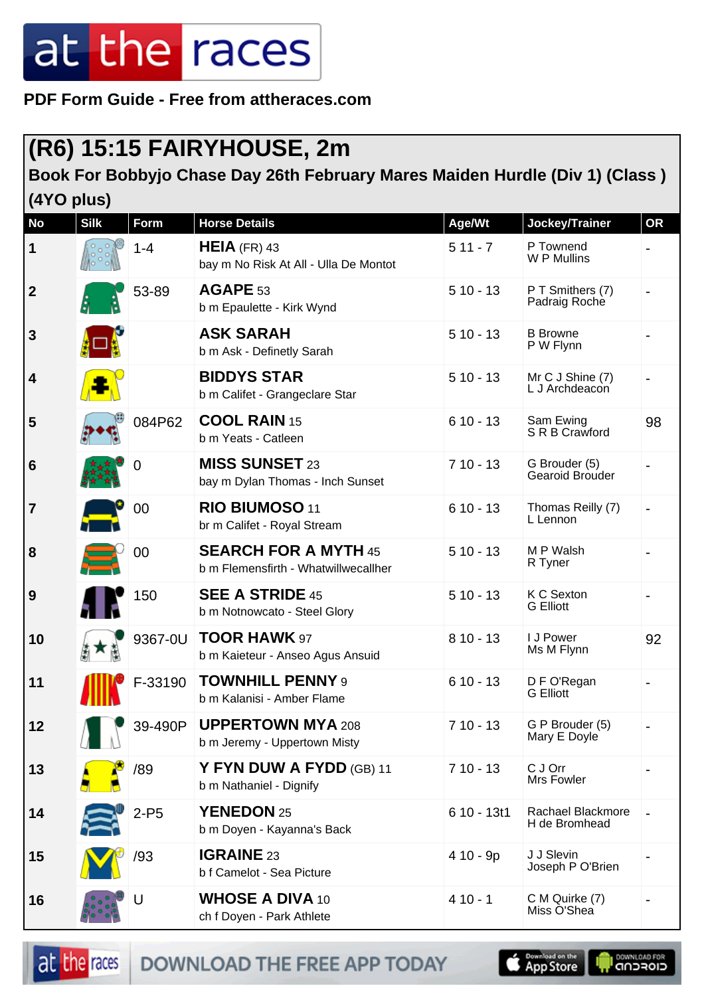**PDF Form Guide - Free from attheraces.com**

#### **(R6) 15:15 FAIRYHOUSE, 2m**

#### **Book For Bobbyjo Chase Day 26th February Mares Maiden Hurdle (Div 1) (Class )**

**(4YO plus)**

| <b>No</b>        | <b>Silk</b>   | Form    | <b>Horse Details</b>                                                | Age/Wt      | Jockey/Trainer                     | OR                           |
|------------------|---------------|---------|---------------------------------------------------------------------|-------------|------------------------------------|------------------------------|
| 1                |               | $1 - 4$ | $HEIA$ (FR) 43<br>bay m No Risk At All - Ulla De Montot             | $511 - 7$   | P Townend<br>W P Mullins           |                              |
| $\boldsymbol{2}$ |               | 53-89   | AGAPE 53<br>b m Epaulette - Kirk Wynd                               | $510 - 13$  | P T Smithers (7)<br>Padraig Roche  |                              |
| 3                |               |         | <b>ASK SARAH</b><br>b m Ask - Definetly Sarah                       | $510 - 13$  | <b>B</b> Browne<br>P W Flynn       |                              |
| 4                |               |         | <b>BIDDYS STAR</b><br>b m Califet - Grangeclare Star                | $510 - 13$  | Mr C J Shine (7)<br>L J Archdeacon | $\qquad \qquad \blacksquare$ |
| 5                |               | 084P62  | <b>COOL RAIN 15</b><br>b m Yeats - Catleen                          | $610 - 13$  | Sam Ewing<br>S R B Crawford        | 98                           |
| 6                |               | 0       | <b>MISS SUNSET 23</b><br>bay m Dylan Thomas - Inch Sunset           | $710 - 13$  | G Brouder (5)<br>Gearoid Brouder   |                              |
| 7                |               | 00      | RIO BIUMOSO 11<br>br m Califet - Royal Stream                       | $610 - 13$  | Thomas Reilly (7)<br>L Lennon      |                              |
| 8                |               | 00      | <b>SEARCH FOR A MYTH 45</b><br>b m Flemensfirth - Whatwillwecallher | $510 - 13$  | M P Walsh<br>R Tyner               |                              |
| 9                |               | 150     | <b>SEE A STRIDE 45</b><br>b m Notnowcato - Steel Glory              | $510 - 13$  | K C Sexton<br><b>G</b> Elliott     |                              |
| 10               |               | 9367-0U | <b>TOOR HAWK 97</b><br>b m Kaieteur - Anseo Agus Ansuid             | $810 - 13$  | I J Power<br>Ms M Flynn            | 92                           |
| 11               |               | F-33190 | <b>TOWNHILL PENNY 9</b><br>b m Kalanisi - Amber Flame               | $610 - 13$  | D F O'Regan<br><b>G</b> Elliott    |                              |
| 12               | $\cup$ $\cup$ | 39-490P | <b>UPPERTOWN MYA 208</b><br>b m Jeremy - Uppertown Misty            | $710 - 13$  | G P Brouder (5)<br>Mary E Doyle    |                              |
| 13               |               | /89     | Y FYN DUW A FYDD (GB) 11<br>b m Nathaniel - Dignify                 | $710 - 13$  | C J Orr<br>Mrs Fowler              |                              |
| 14               |               | $2-P5$  | YENEDON 25<br>b m Doyen - Kayanna's Back                            | 6 10 - 13t1 | Rachael Blackmore<br>H de Bromhead |                              |
| 15               |               | /93     | <b>IGRAINE 23</b><br>b f Camelot - Sea Picture                      | 4 10 - 9p   | J J Slevin<br>Joseph P O'Brien     |                              |
| 16               |               | U       | <b>WHOSE A DIVA 10</b><br>ch f Doyen - Park Athlete                 | $410 - 1$   | C M Quirke (7)<br>Miss O'Shea      |                              |



DOWNLOAD THE FREE APP TODAY

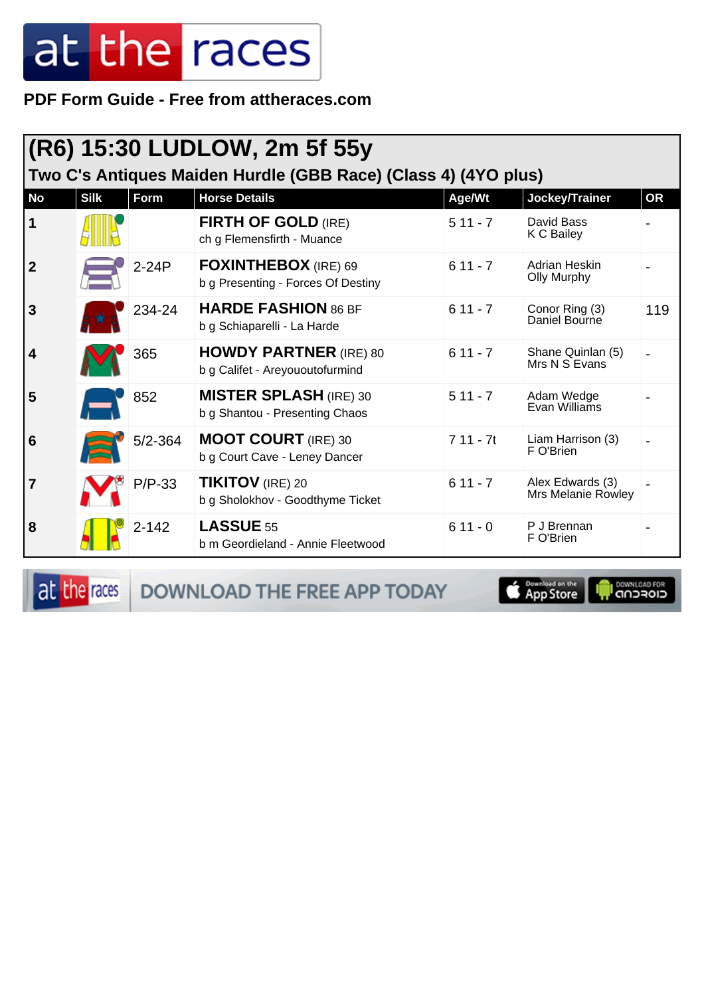PDF Form Guide - Free from attheraces.com

|                         | (R6) 15:30 LUDLOW, 2m 5f 55y<br>Two C's Antiques Maiden Hurdle (GBB Race) (Class 4) (4YO plus) |             |                                                                  |            |                                               |           |  |  |
|-------------------------|------------------------------------------------------------------------------------------------|-------------|------------------------------------------------------------------|------------|-----------------------------------------------|-----------|--|--|
| <b>No</b>               | <b>Silk</b>                                                                                    | <b>Form</b> | <b>Horse Details</b>                                             | Age/Wt     | Jockey/Trainer                                | <b>OR</b> |  |  |
| 1                       |                                                                                                |             | <b>FIRTH OF GOLD (IRE)</b><br>ch g Flemensfirth - Muance         | $511 - 7$  | David Bass<br>K C Bailey                      |           |  |  |
| $\mathbf 2$             |                                                                                                | $2-24P$     | FOXINTHEBOX (IRE) 69<br>b g Presenting - Forces Of Destiny       | $611 - 7$  | Adrian Heskin<br><b>Olly Murphy</b>           |           |  |  |
| 3                       |                                                                                                | 234-24      | <b>HARDE FASHION 86 BF</b><br>b g Schiaparelli - La Harde        | $611 - 7$  | Conor Ring (3)<br>Daniel Bourne               | 119       |  |  |
| $\overline{\mathbf{4}}$ |                                                                                                | 365         | <b>HOWDY PARTNER</b> (IRE) 80<br>b g Califet - Areyououtofurmind | $611 - 7$  | Shane Quinlan (5)<br>Mrs N S Evans            |           |  |  |
| 5                       |                                                                                                | 852         | <b>MISTER SPLASH (IRE) 30</b><br>b g Shantou - Presenting Chaos  | $511 - 7$  | Adam Wedge<br>Evan Williams                   |           |  |  |
| 6                       |                                                                                                | $5/2 - 364$ | <b>MOOT COURT</b> (IRE) 30<br>b g Court Cave - Leney Dancer      | $711 - 7t$ | Liam Harrison (3)<br>F O'Brien                |           |  |  |
| 7                       |                                                                                                | $P/P-33$    | <b>TIKITOV</b> (IRE) 20<br>b g Sholokhov - Goodthyme Ticket      | $611 - 7$  | Alex Edwards (3)<br><b>Mrs Melanie Rowley</b> |           |  |  |
| 8                       |                                                                                                | $2 - 142$   | <b>LASSUE 55</b><br>b m Geordieland - Annie Fleetwood            | $611 - 0$  | P J Brennan<br>F O'Brien                      |           |  |  |

at the races

DOWNLOAD THE FREE APP TODAY

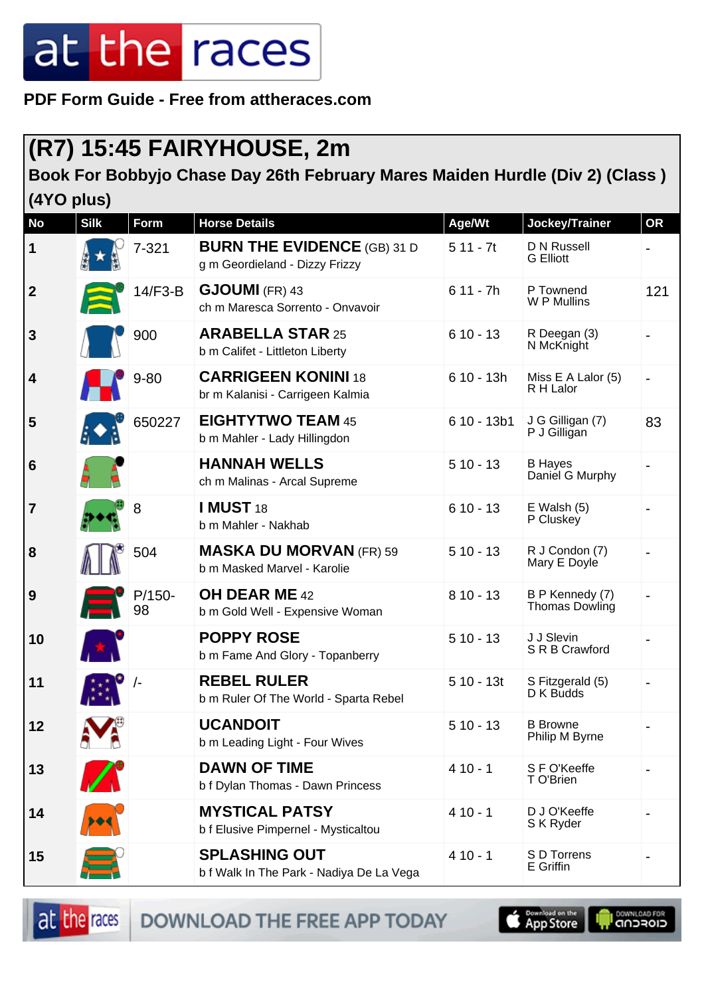**PDF Form Guide - Free from attheraces.com**

#### **(R7) 15:45 FAIRYHOUSE, 2m**

#### **Book For Bobbyjo Chase Day 26th February Mares Maiden Hurdle (Div 2) (Class ) (4YO plus)**

| <b>No</b>        | <b>Silk</b> | <b>Form</b>    | <b>Horse Details</b>                                                 | Age/Wt       | Jockey/Trainer                           | <b>OR</b>                |
|------------------|-------------|----------------|----------------------------------------------------------------------|--------------|------------------------------------------|--------------------------|
| $\mathbf 1$      |             | $7 - 321$      | <b>BURN THE EVIDENCE (GB) 31 D</b><br>g m Geordieland - Dizzy Frizzy | $511 - 7t$   | D N Russell<br><b>G</b> Elliott          |                          |
| $\boldsymbol{2}$ |             | $14/F3-B$      | <b>GJOUMI</b> (FR) 43<br>ch m Maresca Sorrento - Onvavoir            | $611 - 7h$   | P Townend<br>W P Mullins                 | 121                      |
| $\mathbf{3}$     |             | 900            | <b>ARABELLA STAR 25</b><br>b m Califet - Littleton Liberty           | $610 - 13$   | R Deegan (3)<br>N McKnight               |                          |
| 4                |             | $9 - 80$       | <b>CARRIGEEN KONINI 18</b><br>br m Kalanisi - Carrigeen Kalmia       | $610 - 13h$  | Miss E A Lalor (5)<br>R H Lalor          | $\overline{\phantom{0}}$ |
| 5                |             | 650227         | <b>EIGHTYTWO TEAM 45</b><br>b m Mahler - Lady Hillingdon             | $610 - 13b1$ | J G Gilligan (7)<br>P J Gilligan         | 83                       |
| 6                |             |                | <b>HANNAH WELLS</b><br>ch m Malinas - Arcal Supreme                  | $510 - 13$   | <b>B</b> Hayes<br>Daniel G Murphy        |                          |
| $\overline{7}$   |             | 8              | <b>I MUST 18</b><br>b m Mahler - Nakhab                              | $610 - 13$   | $E$ Walsh $(5)$<br>P Cluskey             |                          |
| 8                |             | 504            | <b>MASKA DU MORVAN (FR) 59</b><br>b m Masked Marvel - Karolie        | $510 - 13$   | R J Condon (7)<br>Mary E Doyle           |                          |
| 9                |             | $P/150-$<br>98 | <b>OH DEAR ME 42</b><br>b m Gold Well - Expensive Woman              | $810 - 13$   | B P Kennedy (7)<br><b>Thomas Dowling</b> |                          |
| 10               |             |                | <b>POPPY ROSE</b><br>b m Fame And Glory - Topanberry                 | $510 - 13$   | J J Slevin<br>S R B Crawford             |                          |
| 11               |             |                | <b>REBEL RULER</b><br>b m Ruler Of The World - Sparta Rebel          | $510 - 13t$  | S Fitzgerald (5)<br>D K Budds            |                          |
| 12               | 9 I D       |                | <b>UCANDOIT</b><br>b m Leading Light - Four Wives                    | $510 - 13$   | <b>B</b> Browne<br>Philip M Byrne        |                          |
| 13               | $\sqrt{2}$  |                | <b>DAWN OF TIME</b><br>b f Dylan Thomas - Dawn Princess              | $410 - 1$    | S F O'Keeffe<br>T O'Brien                |                          |
| 14               |             |                | <b>MYSTICAL PATSY</b><br>b f Elusive Pimpernel - Mysticaltou         | $410 - 1$    | D J O'Keeffe<br>S K Ryder                |                          |
| 15               |             |                | <b>SPLASHING OUT</b><br>b f Walk In The Park - Nadiya De La Vega     | $410 - 1$    | S D Torrens<br>E Griffin                 |                          |

at the races

DOWNLOAD THE FREE APP TODAY

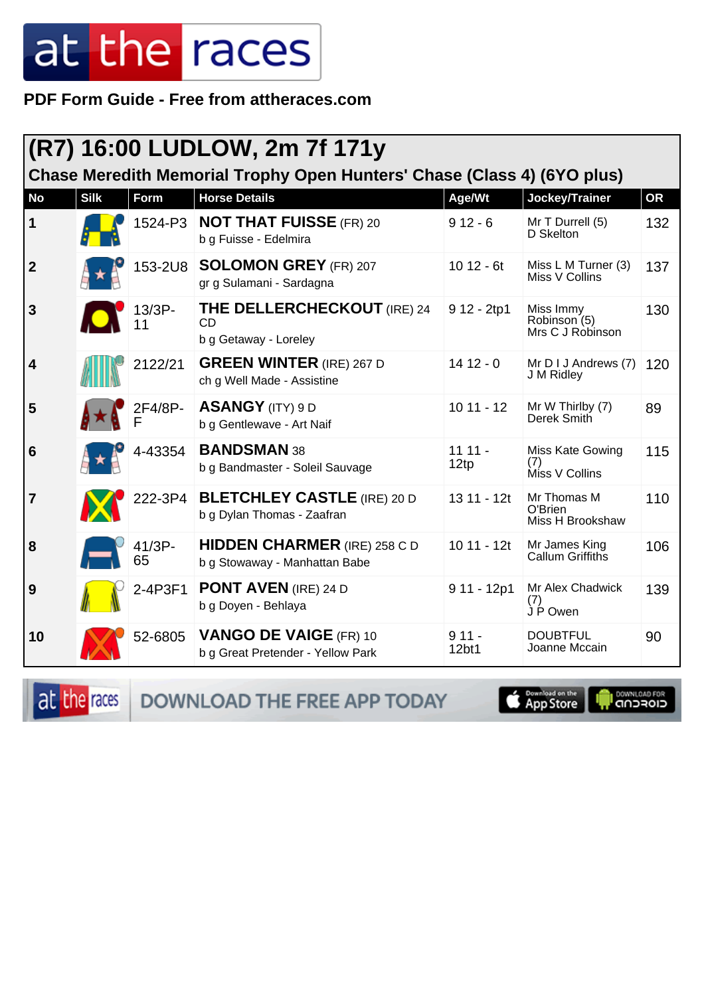PDF Form Guide - Free from attheraces.com

| (R7) 16:00 LUDLOW, 2m 7f 171y                                           |             |              |                                                                      |                  |                                               |           |  |
|-------------------------------------------------------------------------|-------------|--------------|----------------------------------------------------------------------|------------------|-----------------------------------------------|-----------|--|
| Chase Meredith Memorial Trophy Open Hunters' Chase (Class 4) (6YO plus) |             |              |                                                                      |                  |                                               |           |  |
| <b>No</b>                                                               | <b>Silk</b> | Form         | <b>Horse Details</b>                                                 | Age/Wt           | Jockey/Trainer                                | <b>OR</b> |  |
| 1                                                                       |             | 1524-P3      | <b>NOT THAT FUISSE (FR) 20</b><br>b g Fuisse - Edelmira              | $912 - 6$        | Mr T Durrell (5)<br>D Skelton                 | 132       |  |
| $\mathbf{2}$                                                            |             | 153-2U8      | <b>SOLOMON GREY (FR) 207</b><br>gr g Sulamani - Sardagna             | $1012 - 6t$      | Miss L M Turner (3)<br>Miss V Collins         | 137       |  |
| 3                                                                       |             | 13/3P-       | <b>THE DELLERCHECKOUT (IRE) 24</b><br>CD<br>b g Getaway - Loreley    | 9 12 - 2tp1      | Miss Immy<br>Robinson (5)<br>Mrs C J Robinson | 130       |  |
| 4                                                                       |             | 2122/21      | <b>GREEN WINTER (IRE) 267 D</b><br>ch g Well Made - Assistine        | $1412 - 0$       | Mr D I J Andrews (7)<br>J M Ridley            | 120       |  |
| 5                                                                       |             | 2F4/8P-      | <b>ASANGY</b> (ITY) 9 D<br>b g Gentlewave - Art Naif                 | $1011 - 12$      | Mr W Thirlby (7)<br>Derek Smith               | 89        |  |
| 6                                                                       |             | 4-43354      | <b>BANDSMAN 38</b><br>b g Bandmaster - Soleil Sauvage                | $1111 -$<br>12tp | Miss Kate Gowing<br>(7)<br>Miss V Collins     | 115       |  |
| 7                                                                       |             | 222-3P4      | <b>BLETCHLEY CASTLE (IRE) 20 D</b><br>b g Dylan Thomas - Zaafran     | 13 11 - 12t      | Mr Thomas M<br>O'Brien<br>Miss H Brookshaw    | 110       |  |
| 8                                                                       |             | 41/3P-<br>65 | <b>HIDDEN CHARMER (IRE) 258 C D</b><br>b g Stowaway - Manhattan Babe | $1011 - 12t$     | Mr James King<br>Callum Griffiths             | 106       |  |
| 9                                                                       |             | 2-4P3F1      | <b>PONT AVEN (IRE) 24 D</b><br>b g Doyen - Behlaya                   | $911 - 12p1$     | Mr Alex Chadwick<br>(7)<br>J P Owen           | 139       |  |
| 10                                                                      |             | 52-6805      | <b>VANGO DE VAIGE (FR) 10</b><br>b g Great Pretender - Yellow Park   | $911 -$<br>12bt1 | <b>DOUBTFUL</b><br>Joanne Mccain              | 90        |  |

at the races

DOWNLOAD THE FREE APP TODAY

App Store Г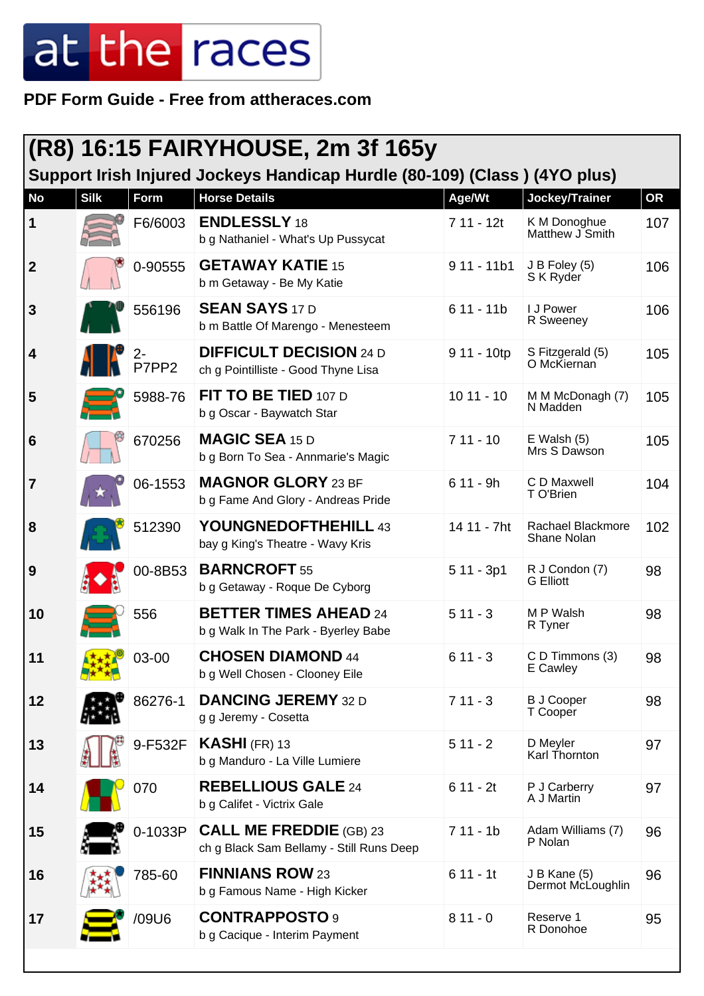**PDF Form Guide - Free from attheraces.com**

| <b>(R8) 16:15 FAIRYHOUSE, 2m 3f 165y</b>                                  |             |                                                                                     |                                                                            |              |                                    |           |  |  |
|---------------------------------------------------------------------------|-------------|-------------------------------------------------------------------------------------|----------------------------------------------------------------------------|--------------|------------------------------------|-----------|--|--|
| Support Irish Injured Jockeys Handicap Hurdle (80-109) (Class) (4YO plus) |             |                                                                                     |                                                                            |              |                                    |           |  |  |
| <b>No</b>                                                                 | <b>Silk</b> | <b>Form</b>                                                                         | <b>Horse Details</b>                                                       | Age/Wt       | Jockey/Trainer                     | <b>OR</b> |  |  |
| 1                                                                         |             | F6/6003                                                                             | <b>ENDLESSLY 18</b><br>b g Nathaniel - What's Up Pussycat                  | $711 - 12t$  | K M Donoghue<br>Matthew J Smith    | 107       |  |  |
| $\overline{\mathbf{2}}$                                                   |             | 0-90555                                                                             | <b>GETAWAY KATIE 15</b><br>b m Getaway - Be My Katie                       | $911 - 11b1$ | J B Foley (5)<br>S K Ryder         | 106       |  |  |
| $\mathbf{3}$                                                              |             | 556196                                                                              | <b>SEAN SAYS 17 D</b><br>b m Battle Of Marengo - Menesteem                 | $611 - 11b$  | I J Power<br>R Sweeney             | 106       |  |  |
| $\vert$ 4                                                                 |             | $\frac{1}{\sqrt{2}}$ $\frac{2}{\sqrt{2}}$ $\frac{2}{\sqrt{2}}$ $\frac{2}{\sqrt{2}}$ | <b>DIFFICULT DECISION 24 D</b><br>ch g Pointilliste - Good Thyne Lisa      | 9 11 - 10tp  | S Fitzgerald (5)<br>O McKiernan    | 105       |  |  |
| 5                                                                         |             | 5988-76                                                                             | FIT TO BE TIED 107 D<br>b g Oscar - Baywatch Star                          | $1011 - 10$  | M M McDonagh (7)<br>N Madden       | 105       |  |  |
| $6\phantom{1}6$                                                           |             | 670256                                                                              | <b>MAGIC SEA 15 D</b><br>b g Born To Sea - Annmarie's Magic                | $711 - 10$   | $E$ Walsh $(5)$<br>Mrs S Dawson    | 105       |  |  |
| $\overline{7}$                                                            |             | 06-1553                                                                             | <b>MAGNOR GLORY 23 BF</b><br>b g Fame And Glory - Andreas Pride            | $611 - 9h$   | C D Maxwell<br>T O'Brien           | 104       |  |  |
| 8                                                                         |             | 512390                                                                              | YOUNGNEDOFTHEHILL 43<br>bay g King's Theatre - Wavy Kris                   | 14 11 - 7ht  | Rachael Blackmore<br>Shane Nolan   | 102       |  |  |
| 9                                                                         |             | 00-8B53                                                                             | <b>BARNCROFT 55</b><br>b g Getaway - Roque De Cyborg                       | $511 - 3p1$  | R J Condon (7)<br><b>G</b> Elliott | 98        |  |  |
| 10                                                                        |             | 556                                                                                 | <b>BETTER TIMES AHEAD 24</b><br>b g Walk In The Park - Byerley Babe        | $511 - 3$    | M P Walsh<br>R Tyner               | 98        |  |  |
| 11                                                                        | $+10$       | 03-00                                                                               | <b>CHOSEN DIAMOND 44</b><br>b g Well Chosen - Clooney Eile                 | $611 - 3$    | C D Timmons (3)<br>E Cawley        | 98        |  |  |
| 12                                                                        |             | 86276-1                                                                             | <b>DANCING JEREMY 32 D</b><br>g g Jeremy - Cosetta                         | $711 - 3$    | <b>B J Cooper</b><br>T Cooper      | 98        |  |  |
| 13                                                                        |             | 9-F532F                                                                             | $KASHI$ (FR) 13<br>b g Manduro - La Ville Lumiere                          | $511 - 2$    | D Meyler<br>Karl Thornton          | 97        |  |  |
| 14                                                                        |             | 070                                                                                 | <b>REBELLIOUS GALE 24</b><br>b g Califet - Victrix Gale                    | $611 - 2t$   | P J Carberry<br>A J Martin         | 97        |  |  |
| 15                                                                        |             | 0-1033P                                                                             | <b>CALL ME FREDDIE</b> (GB) 23<br>ch g Black Sam Bellamy - Still Runs Deep | $711 - 1b$   | Adam Williams (7)<br>P Nolan       | 96        |  |  |
| 16                                                                        |             | 785-60                                                                              | <b>FINNIANS ROW 23</b><br>b g Famous Name - High Kicker                    | $611 - 11$   | J B Kane (5)<br>Dermot McLoughlin  | 96        |  |  |
| 17                                                                        |             | /09U6                                                                               | <b>CONTRAPPOSTO 9</b><br>b g Cacique - Interim Payment                     | $811 - 0$    | Reserve 1<br>R Donohoe             | 95        |  |  |